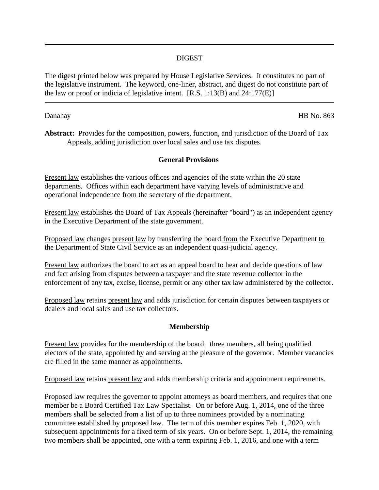## DIGEST

The digest printed below was prepared by House Legislative Services. It constitutes no part of the legislative instrument. The keyword, one-liner, abstract, and digest do not constitute part of the law or proof or indicia of legislative intent.  $[R.S. 1:13(B)$  and  $24:177(E)$ ]

Danahay HB No. 863

**Abstract:** Provides for the composition, powers, function, and jurisdiction of the Board of Tax Appeals, adding jurisdiction over local sales and use tax disputes.

### **General Provisions**

Present law establishes the various offices and agencies of the state within the 20 state departments. Offices within each department have varying levels of administrative and operational independence from the secretary of the department.

Present law establishes the Board of Tax Appeals (hereinafter "board") as an independent agency in the Executive Department of the state government.

Proposed law changes present law by transferring the board from the Executive Department to the Department of State Civil Service as an independent quasi-judicial agency.

Present law authorizes the board to act as an appeal board to hear and decide questions of law and fact arising from disputes between a taxpayer and the state revenue collector in the enforcement of any tax, excise, license, permit or any other tax law administered by the collector.

Proposed law retains present law and adds jurisdiction for certain disputes between taxpayers or dealers and local sales and use tax collectors.

### **Membership**

Present law provides for the membership of the board: three members, all being qualified electors of the state, appointed by and serving at the pleasure of the governor. Member vacancies are filled in the same manner as appointments.

Proposed law retains present law and adds membership criteria and appointment requirements.

Proposed law requires the governor to appoint attorneys as board members, and requires that one member be a Board Certified Tax Law Specialist. On or before Aug. 1, 2014, one of the three members shall be selected from a list of up to three nominees provided by a nominating committee established by proposed law. The term of this member expires Feb. 1, 2020, with subsequent appointments for a fixed term of six years. On or before Sept. 1, 2014, the remaining two members shall be appointed, one with a term expiring Feb. 1, 2016, and one with a term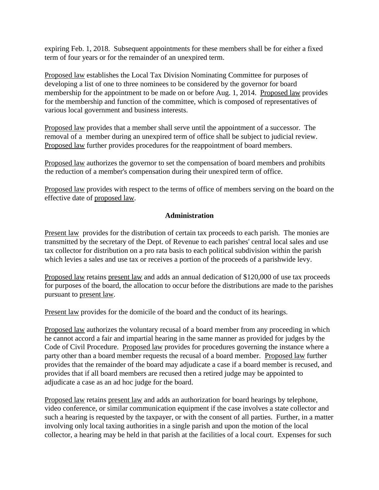expiring Feb. 1, 2018. Subsequent appointments for these members shall be for either a fixed term of four years or for the remainder of an unexpired term.

Proposed law establishes the Local Tax Division Nominating Committee for purposes of developing a list of one to three nominees to be considered by the governor for board membership for the appointment to be made on or before Aug. 1, 2014. Proposed law provides for the membership and function of the committee, which is composed of representatives of various local government and business interests.

Proposed law provides that a member shall serve until the appointment of a successor. The removal of a member during an unexpired term of office shall be subject to judicial review. Proposed law further provides procedures for the reappointment of board members.

Proposed law authorizes the governor to set the compensation of board members and prohibits the reduction of a member's compensation during their unexpired term of office.

Proposed law provides with respect to the terms of office of members serving on the board on the effective date of proposed law.

# **Administration**

Present law provides for the distribution of certain tax proceeds to each parish. The monies are transmitted by the secretary of the Dept. of Revenue to each parishes' central local sales and use tax collector for distribution on a pro rata basis to each political subdivision within the parish which levies a sales and use tax or receives a portion of the proceeds of a parishwide levy.

Proposed law retains present law and adds an annual dedication of \$120,000 of use tax proceeds for purposes of the board, the allocation to occur before the distributions are made to the parishes pursuant to present law.

Present law provides for the domicile of the board and the conduct of its hearings.

Proposed law authorizes the voluntary recusal of a board member from any proceeding in which he cannot accord a fair and impartial hearing in the same manner as provided for judges by the Code of Civil Procedure. Proposed law provides for procedures governing the instance where a party other than a board member requests the recusal of a board member. Proposed law further provides that the remainder of the board may adjudicate a case if a board member is recused, and provides that if all board members are recused then a retired judge may be appointed to adjudicate a case as an ad hoc judge for the board.

Proposed law retains present law and adds an authorization for board hearings by telephone, video conference, or similar communication equipment if the case involves a state collector and such a hearing is requested by the taxpayer, or with the consent of all parties. Further, in a matter involving only local taxing authorities in a single parish and upon the motion of the local collector, a hearing may be held in that parish at the facilities of a local court. Expenses for such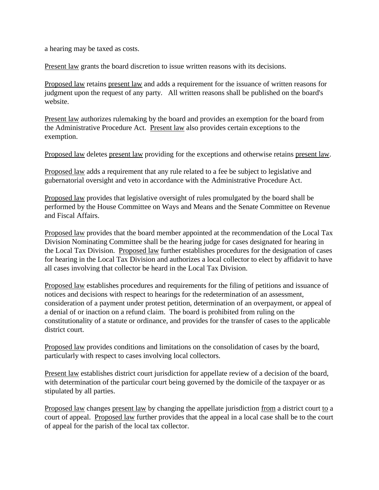a hearing may be taxed as costs.

Present law grants the board discretion to issue written reasons with its decisions.

Proposed law retains present law and adds a requirement for the issuance of written reasons for judgment upon the request of any party. All written reasons shall be published on the board's website.

Present law authorizes rulemaking by the board and provides an exemption for the board from the Administrative Procedure Act. Present law also provides certain exceptions to the exemption.

Proposed law deletes present law providing for the exceptions and otherwise retains present law.

Proposed law adds a requirement that any rule related to a fee be subject to legislative and gubernatorial oversight and veto in accordance with the Administrative Procedure Act.

Proposed law provides that legislative oversight of rules promulgated by the board shall be performed by the House Committee on Ways and Means and the Senate Committee on Revenue and Fiscal Affairs.

Proposed law provides that the board member appointed at the recommendation of the Local Tax Division Nominating Committee shall be the hearing judge for cases designated for hearing in the Local Tax Division. Proposed law further establishes procedures for the designation of cases for hearing in the Local Tax Division and authorizes a local collector to elect by affidavit to have all cases involving that collector be heard in the Local Tax Division.

Proposed law establishes procedures and requirements for the filing of petitions and issuance of notices and decisions with respect to hearings for the redetermination of an assessment, consideration of a payment under protest petition, determination of an overpayment, or appeal of a denial of or inaction on a refund claim. The board is prohibited from ruling on the constitutionality of a statute or ordinance, and provides for the transfer of cases to the applicable district court.

Proposed law provides conditions and limitations on the consolidation of cases by the board, particularly with respect to cases involving local collectors.

Present law establishes district court jurisdiction for appellate review of a decision of the board, with determination of the particular court being governed by the domicile of the taxpayer or as stipulated by all parties.

Proposed law changes present law by changing the appellate jurisdiction from a district court to a court of appeal. Proposed law further provides that the appeal in a local case shall be to the court of appeal for the parish of the local tax collector.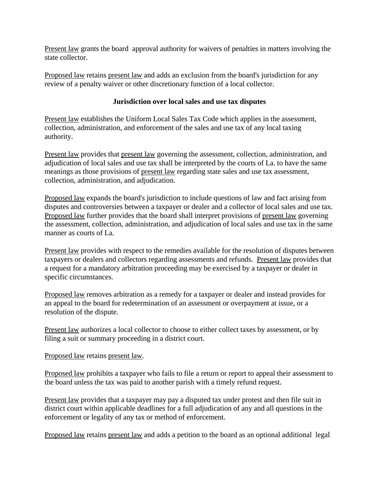Present law grants the board approval authority for waivers of penalties in matters involving the state collector.

Proposed law retains present law and adds an exclusion from the board's jurisdiction for any review of a penalty waiver or other discretionary function of a local collector.

# **Jurisdiction over local sales and use tax disputes**

Present law establishes the Uniform Local Sales Tax Code which applies in the assessment, collection, administration, and enforcement of the sales and use tax of any local taxing authority.

Present law provides that present law governing the assessment, collection, administration, and adjudication of local sales and use tax shall be interpreted by the courts of La. to have the same meanings as those provisions of present law regarding state sales and use tax assessment, collection, administration, and adjudication.

Proposed law expands the board's jurisdiction to include questions of law and fact arising from disputes and controversies between a taxpayer or dealer and a collector of local sales and use tax. Proposed law further provides that the board shall interpret provisions of present law governing the assessment, collection, administration, and adjudication of local sales and use tax in the same manner as courts of La.

Present law provides with respect to the remedies available for the resolution of disputes between taxpayers or dealers and collectors regarding assessments and refunds. Present law provides that a request for a mandatory arbitration proceeding may be exercised by a taxpayer or dealer in specific circumstances.

Proposed law removes arbitration as a remedy for a taxpayer or dealer and instead provides for an appeal to the board for redetermination of an assessment or overpayment at issue, or a resolution of the dispute.

Present law authorizes a local collector to choose to either collect taxes by assessment, or by filing a suit or summary proceeding in a district court.

Proposed law retains present law.

Proposed law prohibits a taxpayer who fails to file a return or report to appeal their assessment to the board unless the tax was paid to another parish with a timely refund request.

Present law provides that a taxpayer may pay a disputed tax under protest and then file suit in district court within applicable deadlines for a full adjudication of any and all questions in the enforcement or legality of any tax or method of enforcement.

Proposed law retains present law and adds a petition to the board as an optional additional legal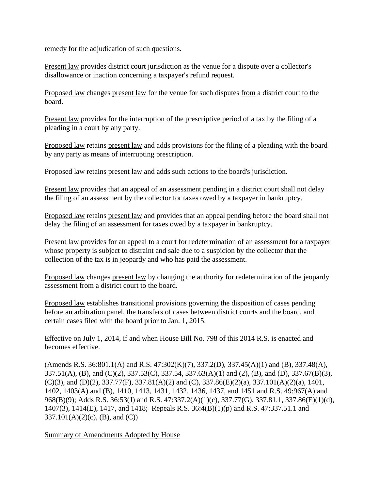remedy for the adjudication of such questions.

Present law provides district court jurisdiction as the venue for a dispute over a collector's disallowance or inaction concerning a taxpayer's refund request.

Proposed law changes present law for the venue for such disputes from a district court to the board.

Present law provides for the interruption of the prescriptive period of a tax by the filing of a pleading in a court by any party.

Proposed law retains present law and adds provisions for the filing of a pleading with the board by any party as means of interrupting prescription.

Proposed law retains present law and adds such actions to the board's jurisdiction.

Present law provides that an appeal of an assessment pending in a district court shall not delay the filing of an assessment by the collector for taxes owed by a taxpayer in bankruptcy.

Proposed law retains present law and provides that an appeal pending before the board shall not delay the filing of an assessment for taxes owed by a taxpayer in bankruptcy.

Present law provides for an appeal to a court for redetermination of an assessment for a taxpayer whose property is subject to distraint and sale due to a suspicion by the collector that the collection of the tax is in jeopardy and who has paid the assessment.

Proposed law changes present law by changing the authority for redetermination of the jeopardy assessment from a district court to the board.

Proposed law establishes transitional provisions governing the disposition of cases pending before an arbitration panel, the transfers of cases between district courts and the board, and certain cases filed with the board prior to Jan. 1, 2015.

Effective on July 1, 2014, if and when House Bill No. 798 of this 2014 R.S. is enacted and becomes effective.

(Amends R.S. 36:801.1(A) and R.S. 47:302(K)(7), 337.2(D), 337.45(A)(1) and (B), 337.48(A), 337.51(A), (B), and (C)(2), 337.53(C), 337.54, 337.63(A)(1) and (2), (B), and (D), 337.67(B)(3),  $(C)(3)$ , and  $(D)(2)$ , 337.77(F), 337.81(A)(2) and  $(C)$ , 337.86(E)(2)(a), 337.101(A)(2)(a), 1401, 1402, 1403(A) and (B), 1410, 1413, 1431, 1432, 1436, 1437, and 1451 and R.S. 49:967(A) and 968(B)(9); Adds R.S. 36:53(J) and R.S. 47:337.2(A)(1)(c), 337.77(G), 337.81.1, 337.86(E)(1)(d), 1407(3), 1414(E), 1417, and 1418; Repeals R.S. 36:4(B)(1)(p) and R.S. 47:337.51.1 and  $337.101(A)(2)(c)$ , (B), and (C))

Summary of Amendments Adopted by House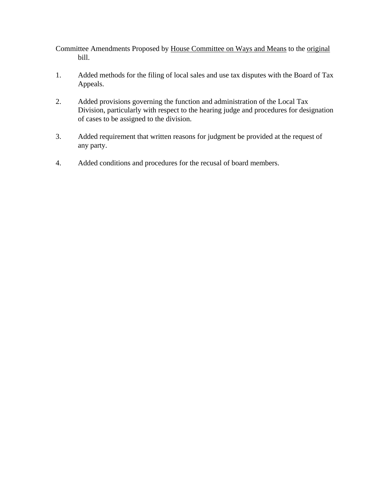Committee Amendments Proposed by House Committee on Ways and Means to the original bill.

- 1. Added methods for the filing of local sales and use tax disputes with the Board of Tax Appeals.
- 2. Added provisions governing the function and administration of the Local Tax Division, particularly with respect to the hearing judge and procedures for designation of cases to be assigned to the division.
- 3. Added requirement that written reasons for judgment be provided at the request of any party.
- 4. Added conditions and procedures for the recusal of board members.